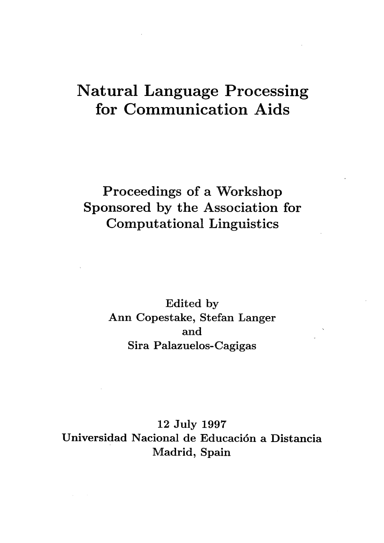# **Natural Language Processing for Communication Aids**

## **Proceedings of a Workshop Sponsored by the Association for Computational Linguistics**

## Edited by Ann Copestake, Stefan Langer and Sira Palazuelos-Cagigas

12 July 1997 Universidad Nacional de Educación a Distancia Madrid, Spain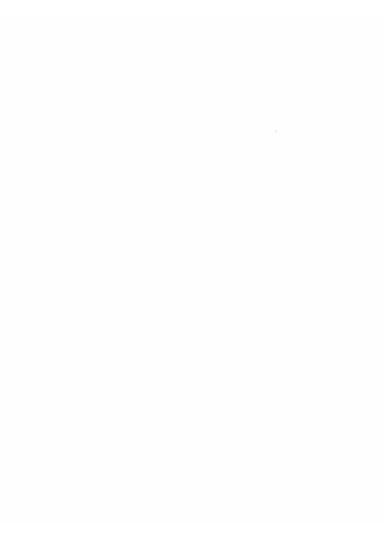$\label{eq:2.1} \frac{1}{\sqrt{2}}\int_{0}^{\infty}\frac{1}{\sqrt{2\pi}}\left(\frac{1}{\sqrt{2\pi}}\right)^{2}d\mu\left(\frac{1}{\sqrt{2\pi}}\right)\frac{d\mu}{d\mu}d\mu\left(\frac{1}{\sqrt{2\pi}}\right).$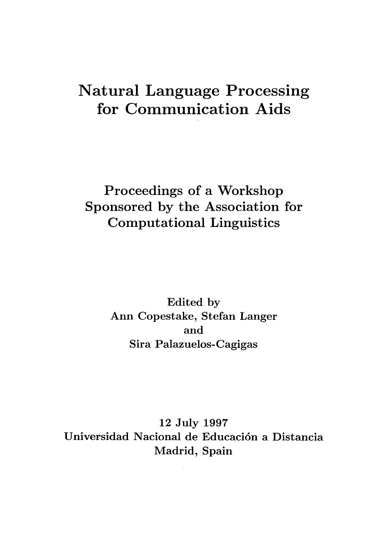# **Natural Language Processing for Communication Aids**

## **Proceedings of a Workshop Sponsored by the Association for Computational Linguistics**

## Edited by Ann Copestake, Stefan Langer and Sira Palazuelos-Cagigas

Universidad Nacional de Educaci6n a Distancia 12 July 1997 Madrid, Spain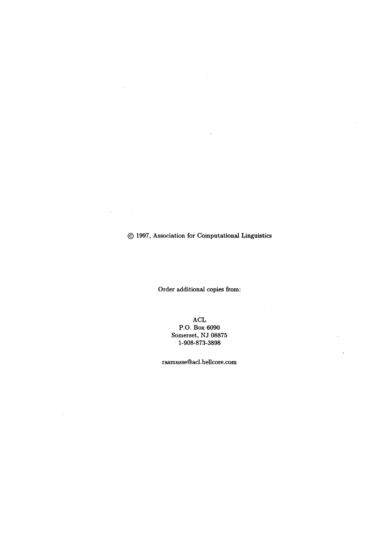(~) 1997, Association for Computational Linguistics

 $\overline{a}$ 

 $\bar{A}$ 

 $\sim$ 

 $\bar{\mathcal{A}}$ 

 $\sim$ 

 $\sim$ 

 $\bar{\beta}$ 

 $\mathcal{F}^{\text{max}}_{\text{max}}$ 

 $\bar{\mathcal{A}}$ 

Order additional copies from:

ACL P.O. Box 6090 Somerset, NJ 08875 1-908-873-3898

rasmusse@acl.bellcore.com

 $\bar{\beta}$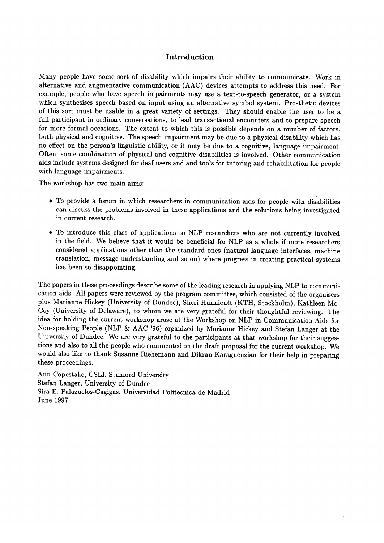#### **Introduction**

Many people have some sort of disability which impairs their ability to communicate. Work in alternative and augmentative communication (AAC) devices attempts to address this need. For example, people who have speech impairments may use a text-to-speech generator, or a system which synthesises speech based on input using an alternative symbol system. Prosthetic devices of this sort must be usable in a great variety of settings. They should enable the user to be a full participant in ordinary conversations, to lead transactional encounters and to prepare speech for more formal occasions. The extent to which this is possible depends on a number of factors, both physical and cognitive. The speech impairment may be due to a physical disability which has no effect on the person's linguistic ability, or it may be due to a cognitive, language impairment. Often, some combination of physical and cognitive disabilities is involved. Other communication aids include systems designed for deaf users and and tools for tutoring and rehabilitation for people with language impairments.

The workshop has two main aims:

- To provide a forum in which researchers in communication aids for people with disabilities can discuss the problems involved in these applications and the solutions being investigated in current research.
- To introduce this class of applications to NLP researchers who are not currently involved in the field. We believe that it would be beneficial for NLP as a whole if more researchers considered applications other than the standard ones (natural language interfaces, machine translation, message understanding and so on) where progress in creating practical systems has been so disappointing.

The papers in these proceedings describe some of the leading research in applying NLP to communication aids. All papers were reviewed by the program committee, which consisted of the organisers plus Marianne Hickey (University of Dundee), Sheri Hunnicutt (KTH, Stockholm), Kathleen Mc-Coy (University of Delaware), to whom we are very grateful for their thoughtful reviewing. The idea for holding the current workshop arose at the Workshop on NLP in Communication Aids for Non-speaking People (NLP & AAC '96) organized by Marianne Hickey and Stefan Langer at the University of Dundee. We are very grateful to the participants at that workshop for their suggestions and also to all the people who commented on the draft proposal for the current workshop. We would also like to thank Susanne Riehemann and Dikran Karagueuzian for their help in preparing these proceedings.

Ann Copestake, CSLI, Stanford University Stefan Langer, University of Dundee Sira E. Palazuelos-Cagigas, Universidad Politecnica de Madrid June 1997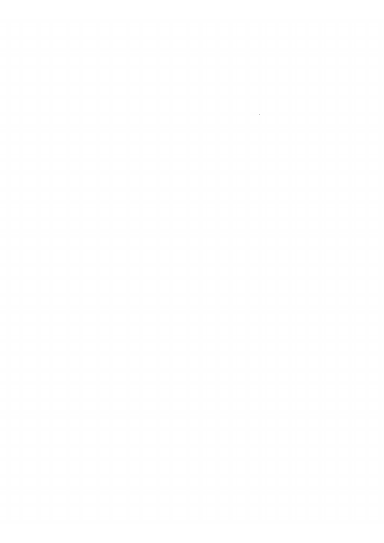$\label{eq:2.1} \frac{1}{\sqrt{2}}\int_{0}^{\infty}\frac{1}{\sqrt{2\pi}}\left(\frac{1}{\sqrt{2\pi}}\right)^{2\alpha} \frac{1}{\sqrt{2\pi}}\int_{0}^{\infty}\frac{1}{\sqrt{2\pi}}\left(\frac{1}{\sqrt{2\pi}}\right)^{\alpha} \frac{1}{\sqrt{2\pi}}\frac{1}{\sqrt{2\pi}}\int_{0}^{\infty}\frac{1}{\sqrt{2\pi}}\frac{1}{\sqrt{2\pi}}\frac{1}{\sqrt{2\pi}}\frac{1}{\sqrt{2\pi}}\frac{1}{\sqrt{2\pi}}\frac{1}{\sqrt{2\pi}}$ 

 $\label{eq:2.1} \frac{1}{\sqrt{2}}\int_{\mathbb{R}^3}\frac{1}{\sqrt{2}}\left(\frac{1}{\sqrt{2}}\right)^2\frac{1}{\sqrt{2}}\left(\frac{1}{\sqrt{2}}\right)^2\frac{1}{\sqrt{2}}\left(\frac{1}{\sqrt{2}}\right)^2\frac{1}{\sqrt{2}}\left(\frac{1}{\sqrt{2}}\right)^2\frac{1}{\sqrt{2}}\left(\frac{1}{\sqrt{2}}\right)^2\frac{1}{\sqrt{2}}\frac{1}{\sqrt{2}}\frac{1}{\sqrt{2}}\frac{1}{\sqrt{2}}\frac{1}{\sqrt{2}}\frac{1}{\sqrt{2}}$ 

 $\label{eq:2.1} \frac{1}{\sqrt{2}}\left(\frac{1}{\sqrt{2}}\right)^{2} \left(\frac{1}{\sqrt{2}}\right)^{2} \left(\frac{1}{\sqrt{2}}\right)^{2} \left(\frac{1}{\sqrt{2}}\right)^{2} \left(\frac{1}{\sqrt{2}}\right)^{2} \left(\frac{1}{\sqrt{2}}\right)^{2} \left(\frac{1}{\sqrt{2}}\right)^{2} \left(\frac{1}{\sqrt{2}}\right)^{2} \left(\frac{1}{\sqrt{2}}\right)^{2} \left(\frac{1}{\sqrt{2}}\right)^{2} \left(\frac{1}{\sqrt{2}}\right)^{2} \left(\$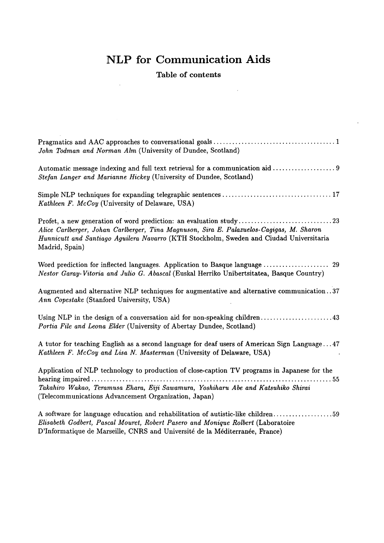### **NLP for Communication Aids**

#### Table of contents

 $\mathcal{L}^{\text{max}}_{\text{max}}$  and  $\mathcal{L}^{\text{max}}_{\text{max}}$ 

 $\hat{\mathcal{A}}$ 

 $\sim 10^{11}$ 

| John Todman and Norman Alm (University of Dundee, Scotland)                                                                                                                                                                                                                 |
|-----------------------------------------------------------------------------------------------------------------------------------------------------------------------------------------------------------------------------------------------------------------------------|
| Automatic message indexing and full text retrieval for a communication aid  9<br>Stefan Langer and Marianne Hickey (University of Dundee, Scotland)                                                                                                                         |
| Kathleen F. McCoy (University of Delaware, USA)                                                                                                                                                                                                                             |
| Profet, a new generation of word prediction: an evaluation study23<br>Alice Carlberger, Johan Carlberger, Tina Magnuson, Sira E. Palazuelos-Cagigas, M. Sharon<br>Hunnicutt and Santiago Aguilera Navarro (KTH Stockholm, Sweden and Ciudad Universitaria<br>Madrid, Spain) |
| Nestor Garay-Vitoria and Julio G. Abascal (Euskal Herriko Unibertsitatea, Basque Country)                                                                                                                                                                                   |
| Augmented and alternative NLP techniques for augmentative and alternative communication37<br>Ann Copestake (Stanford University, USA)                                                                                                                                       |
| Portia File and Leona Elder (University of Abertay Dundee, Scotland)                                                                                                                                                                                                        |
| A tutor for teaching English as a second language for deaf users of American Sign Language47<br>Kathleen F. McCoy and Lisa N. Masterman (University of Delaware, USA)                                                                                                       |
| Application of NLP technology to production of close-caption TV programs in Japanese for the<br>hearing impaired<br>. 55<br>Takahiro Wakao, Teramusa Ehara, Eiji Sawamura, Yoshiharu Abe and Katsuhiko Shirai<br>(Telecommunications Advancement Organization, Japan)       |
| A software for language education and rehabilitation of autistic-like children59<br>Elisabeth Godbert, Pascal Mouret, Robert Pasero and Monique Rolbert (Laboratoire<br>D'Informatique de Marseille, CNRS and Université de la Méditerranée, France)                        |